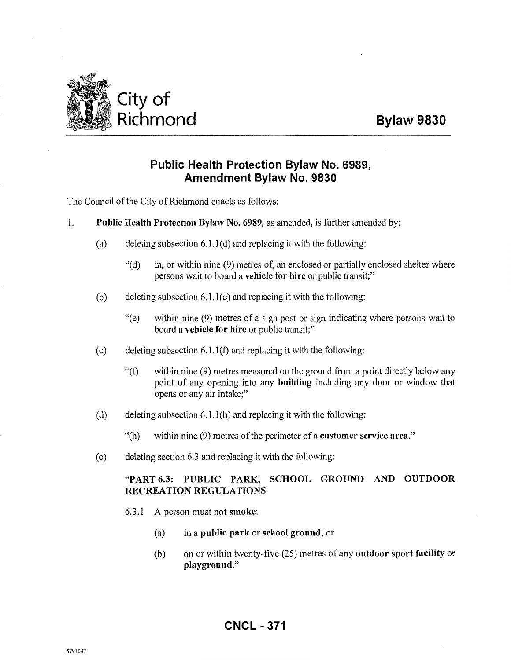

## **Public Health Protection Bylaw No. 6989, Amendment Bylaw No. 9830**

The Council of the City of Richmond enacts as follows:

- 1. Public Health Protection Bylaw No. 6989, as amended, is further amended by:
	- (a) deleting subsection  $6.1.1(d)$  and replacing it with the following:
		- "(d) in, or within nine (9) metres of, an enclosed or partially enclosed shelter where persons wait to board a vehicle for hire or public transit;"
	- (b) deleting subsection  $6.1.1$  (e) and replacing it with the following:
		- "(e) within nine (9) metres of a sign post or sign indicating where persons wait to board a vehicle for hire or public transit;"
	- (c) deleting subsection  $6.1.1(f)$  and replacing it with the following:
		- "(f) within nine (9) metres measured on the ground from a point directly below any point of any opening into any building including any door or window that opens or any air intake;"
	- (d) deleting subsection  $6.1.1(h)$  and replacing it with the following:
		- "(h) within nine (9) metres of the perimeter of a customer service area."
	- (e) deleting section 6.3 and replacing it with the following:

## "PART 6.3: PUBLIC PARK, SCHOOL GROUND AND OUTDOOR RECREATION REGULATIONS

- 6.3.1 A person must not smoke:
	- (a) in a public park or school ground; or
	- (b) on or within twenty-five (25) metres of any outdoor sport facility or playground."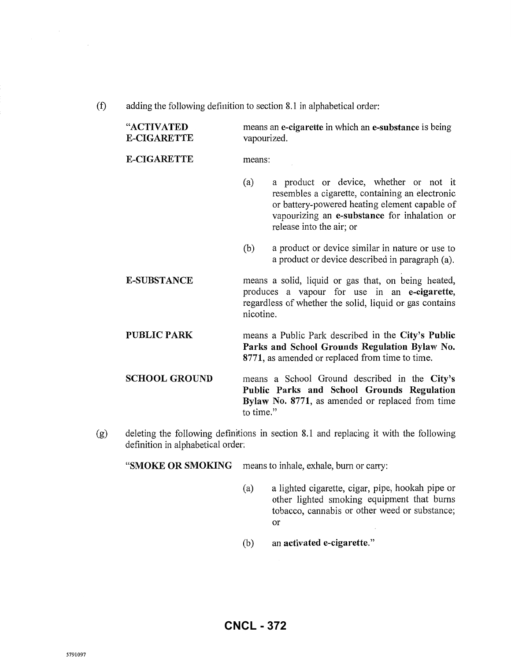(f) adding the following definition to section 8.1 in alphabetical order:

| "ACTIVATED<br><b>E-CIGARETTE</b> | means an e-cigarette in which an e-substance is being<br>vapourized.                                                                                                                                                          |  |
|----------------------------------|-------------------------------------------------------------------------------------------------------------------------------------------------------------------------------------------------------------------------------|--|
| <b>E-CIGARETTE</b>               | means:                                                                                                                                                                                                                        |  |
|                                  | a product or device, whether or not it<br>(a)<br>resembles a cigarette, containing an electronic<br>or battery-powered heating element capable of<br>vapourizing an e-substance for inhalation or<br>release into the air; or |  |
|                                  | a product or device similar in nature or use to<br>(b)<br>a product or device described in paragraph (a).                                                                                                                     |  |
| <b>E-SUBSTANCE</b>               | means a solid, liquid or gas that, on being heated,<br>produces a vapour for use in an e-cigarette,<br>regardless of whether the solid, liquid or gas contains<br>nicotine.                                                   |  |
| <b>PUBLIC PARK</b>               | means a Public Park described in the City's Public<br>Parks and School Grounds Regulation Bylaw No.<br>8771, as amended or replaced from time to time.                                                                        |  |
| <b>SCHOOL GROUND</b>             | means a School Ground described in the City's<br>Public Parks and School Grounds Regulation<br>Bylaw No. 8771, as amended or replaced from time<br>to time."                                                                  |  |

(g) deleting the following definitions in section 8.1 and replacing it with the following definition in alphabetical order:

**"SMOKE OR SMOKING** means to inhale, exhale, burn or carry:

- (a) a lighted cigarette, cigar, pipe, hookah pipe or other lighted smoking equipment that burns tobacco, cannabis or other weed or substance; or
- (b) an **activated e-cigarette."**